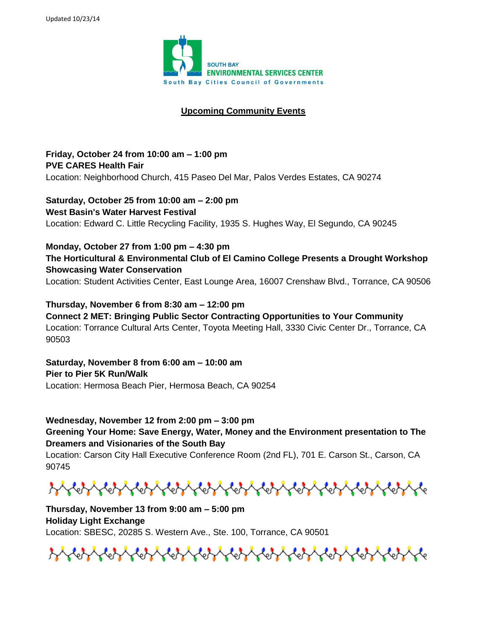

## **Upcoming Community Events**

**Friday, October 24 from 10:00 am – 1:00 pm PVE CARES Health Fair** Location: Neighborhood Church, 415 Paseo Del Mar, Palos Verdes Estates, CA 90274

**Saturday, October 25 from 10:00 am – 2:00 pm West Basin's Water Harvest Festival** Location: Edward C. Little Recycling Facility, 1935 S. Hughes Way, El Segundo, CA 90245

**Monday, October 27 from 1:00 pm – 4:30 pm The Horticultural & Environmental Club of El Camino College Presents a Drought Workshop Showcasing Water Conservation** Location: Student Activities Center, East Lounge Area, 16007 Crenshaw Blvd., Torrance, CA 90506

**Thursday, November 6 from 8:30 am – 12:00 pm Connect 2 MET: Bringing Public Sector Contracting Opportunities to Your Community** Location: Torrance Cultural Arts Center, Toyota Meeting Hall, 3330 Civic Center Dr., Torrance, CA 90503

**Saturday, November 8 from 6:00 am – 10:00 am Pier to Pier 5K Run/Walk** Location: Hermosa Beach Pier, Hermosa Beach, CA 90254

**Wednesday, November 12 from 2:00 pm – 3:00 pm Greening Your Home: Save Energy, Water, Money and the Environment presentation to The Dreamers and Visionaries of the South Bay**

Location: Carson City Hall Executive Conference Room (2nd FL), 701 E. Carson St., Carson, CA 90745

**Thursday, November 13 from 9:00 am – 5:00 pm Holiday Light Exchange** Location: SBESC, 20285 S. Western Ave., Ste. 100, Torrance, CA 90501